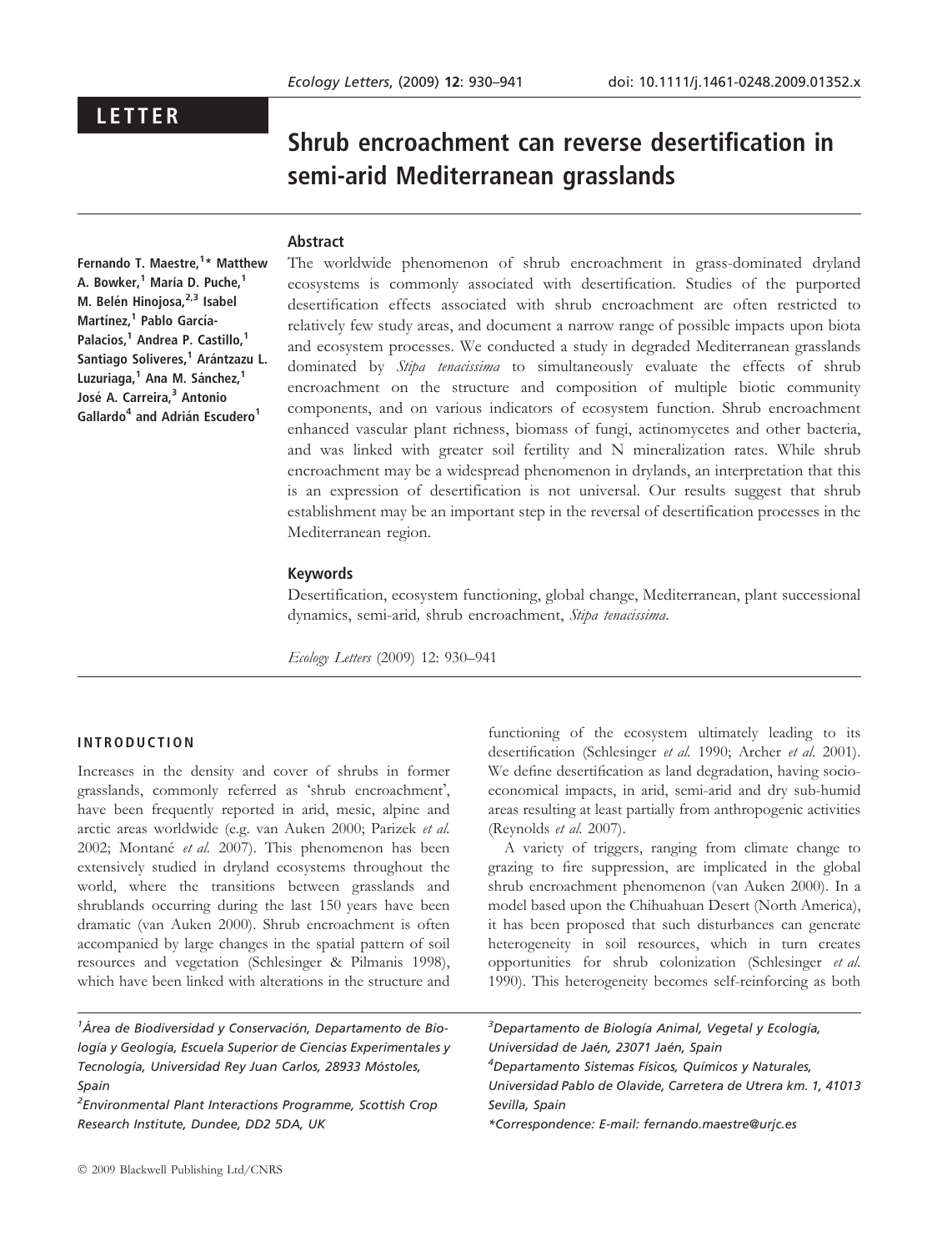# LETTER

# Shrub encroachment can reverse desertification in semi-arid Mediterranean grasslands

# Abstract

Fernando T. Maestre,<sup>1</sup>\* Matthew A. Bowker.<sup>1</sup> María D. Puche.<sup>1</sup> M. Belén Hinojosa,<sup>2,3</sup> Isabel Martínez,<sup>1</sup> Pablo García-Palacios,<sup>1</sup> Andrea P. Castillo,<sup>1</sup> Santiago Soliveres,<sup>1</sup> Arántzazu L. Luzuriaga,<sup>1</sup> Ana M. Sánchez,<sup>1</sup> José A. Carreira,<sup>3</sup> Antonio Gallardo<sup>4</sup> and Adrián Escudero<sup>1</sup>

The worldwide phenomenon of shrub encroachment in grass-dominated dryland ecosystems is commonly associated with desertification. Studies of the purported desertification effects associated with shrub encroachment are often restricted to relatively few study areas, and document a narrow range of possible impacts upon biota and ecosystem processes. We conducted a study in degraded Mediterranean grasslands dominated by Stipa tenacissima to simultaneously evaluate the effects of shrub encroachment on the structure and composition of multiple biotic community components, and on various indicators of ecosystem function. Shrub encroachment enhanced vascular plant richness, biomass of fungi, actinomycetes and other bacteria, and was linked with greater soil fertility and N mineralization rates. While shrub encroachment may be a widespread phenomenon in drylands, an interpretation that this is an expression of desertification is not universal. Our results suggest that shrub establishment may be an important step in the reversal of desertification processes in the Mediterranean region.

#### Keywords

Desertification, ecosystem functioning, global change, Mediterranean, plant successional dynamics, semi-arid, shrub encroachment, Stipa tenacissima.

Ecology Letters (2009) 12: 930–941

#### INTRODUCTION

Increases in the density and cover of shrubs in former grasslands, commonly referred as 'shrub encroachment', have been frequently reported in arid, mesic, alpine and arctic areas worldwide (e.g. van Auken 2000; Parizek et al. 2002; Montané et al. 2007). This phenomenon has been extensively studied in dryland ecosystems throughout the world, where the transitions between grasslands and shrublands occurring during the last 150 years have been dramatic (van Auken 2000). Shrub encroachment is often accompanied by large changes in the spatial pattern of soil resources and vegetation (Schlesinger & Pilmanis 1998), which have been linked with alterations in the structure and

<sup>1</sup>Área de Biodiversidad y Conservación, Departamento de Biología y Geología, Escuela Superior de Ciencias Experimentales y Tecnología, Universidad Rey Juan Carlos, 28933 Móstoles, Spain

<sup>2</sup> Environmental Plant Interactions Programme, Scottish Crop Research Institute, Dundee, DD2 5DA, UK

functioning of the ecosystem ultimately leading to its desertification (Schlesinger et al. 1990; Archer et al. 2001). We define desertification as land degradation, having socioeconomical impacts, in arid, semi-arid and dry sub-humid areas resulting at least partially from anthropogenic activities (Reynolds et al. 2007).

A variety of triggers, ranging from climate change to grazing to fire suppression, are implicated in the global shrub encroachment phenomenon (van Auken 2000). In a model based upon the Chihuahuan Desert (North America), it has been proposed that such disturbances can generate heterogeneity in soil resources, which in turn creates opportunities for shrub colonization (Schlesinger et al. 1990). This heterogeneity becomes self-reinforcing as both

<sup>3</sup>Departamento de Biología Animal, Vegetal y Ecología, Universidad de Jaén, 23071 Jaén, Spain <sup>4</sup>Departamento Sistemas Físicos, Químicos y Naturales, Universidad Pablo de Olavide, Carretera de Utrera km. 1, 41013 Sevilla, Spain \*Correspondence: E-mail: fernando.maestre@urjc.es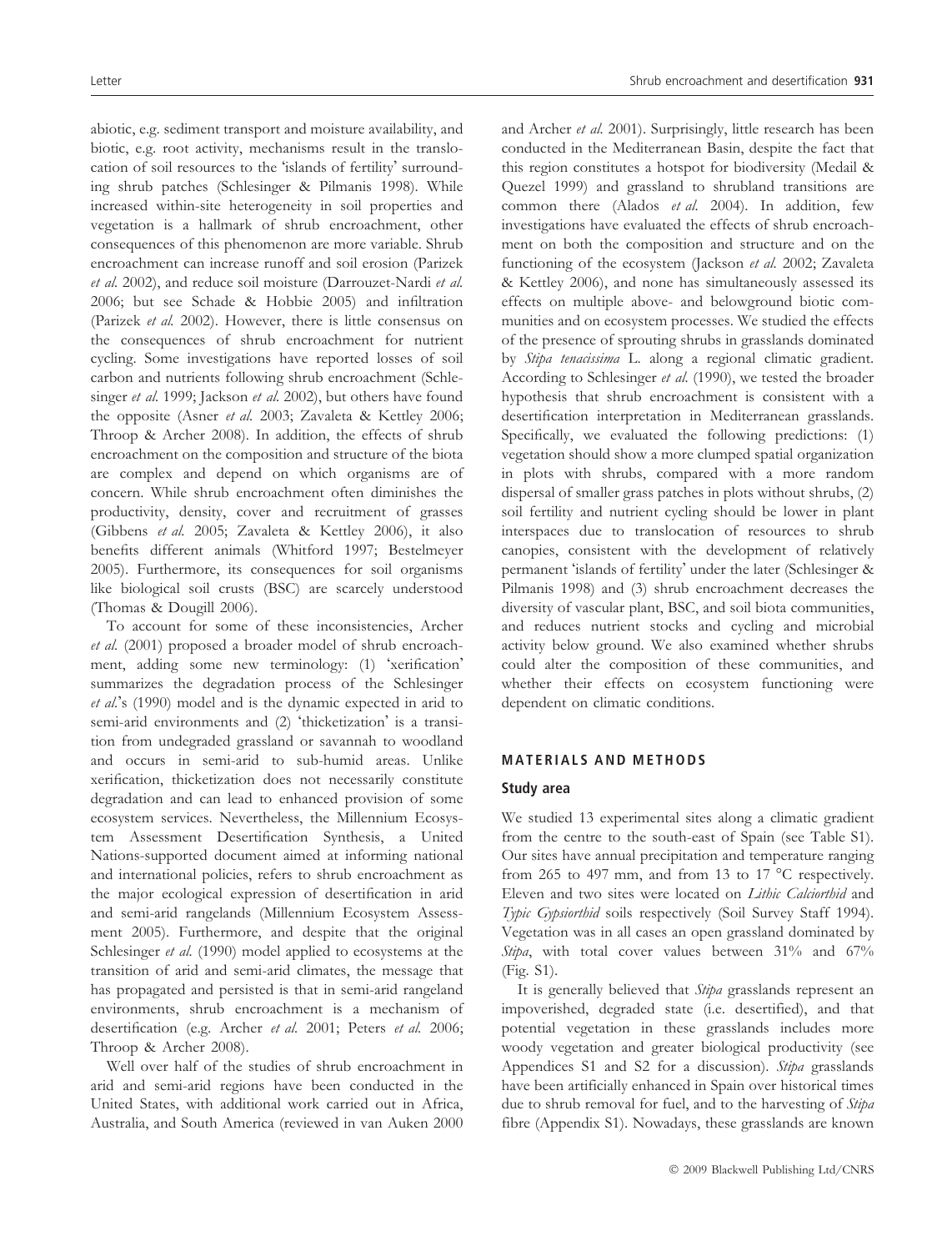abiotic, e.g. sediment transport and moisture availability, and biotic, e.g. root activity, mechanisms result in the translocation of soil resources to the 'islands of fertility' surrounding shrub patches (Schlesinger & Pilmanis 1998). While increased within-site heterogeneity in soil properties and vegetation is a hallmark of shrub encroachment, other consequences of this phenomenon are more variable. Shrub encroachment can increase runoff and soil erosion (Parizek et al. 2002), and reduce soil moisture (Darrouzet-Nardi et al. 2006; but see Schade & Hobbie 2005) and infiltration (Parizek et al. 2002). However, there is little consensus on the consequences of shrub encroachment for nutrient cycling. Some investigations have reported losses of soil carbon and nutrients following shrub encroachment (Schlesinger et al. 1999; Jackson et al. 2002), but others have found the opposite (Asner et al. 2003; Zavaleta & Kettley 2006; Throop & Archer 2008). In addition, the effects of shrub encroachment on the composition and structure of the biota are complex and depend on which organisms are of concern. While shrub encroachment often diminishes the productivity, density, cover and recruitment of grasses (Gibbens et al. 2005; Zavaleta & Kettley 2006), it also benefits different animals (Whitford 1997; Bestelmeyer 2005). Furthermore, its consequences for soil organisms like biological soil crusts (BSC) are scarcely understood (Thomas & Dougill 2006).

To account for some of these inconsistencies, Archer et al. (2001) proposed a broader model of shrub encroachment, adding some new terminology: (1) 'xerification' summarizes the degradation process of the Schlesinger  $et$  al.'s (1990) model and is the dynamic expected in arid to semi-arid environments and (2) 'thicketization' is a transition from undegraded grassland or savannah to woodland and occurs in semi-arid to sub-humid areas. Unlike xerification, thicketization does not necessarily constitute degradation and can lead to enhanced provision of some ecosystem services. Nevertheless, the Millennium Ecosystem Assessment Desertification Synthesis, a United Nations-supported document aimed at informing national and international policies, refers to shrub encroachment as the major ecological expression of desertification in arid and semi-arid rangelands (Millennium Ecosystem Assessment 2005). Furthermore, and despite that the original Schlesinger et al. (1990) model applied to ecosystems at the transition of arid and semi-arid climates, the message that has propagated and persisted is that in semi-arid rangeland environments, shrub encroachment is a mechanism of desertification (e.g. Archer et al. 2001; Peters et al. 2006; Throop & Archer 2008).

Well over half of the studies of shrub encroachment in arid and semi-arid regions have been conducted in the United States, with additional work carried out in Africa, Australia, and South America (reviewed in van Auken 2000 and Archer et al. 2001). Surprisingly, little research has been conducted in the Mediterranean Basin, despite the fact that this region constitutes a hotspot for biodiversity (Medail & Quezel 1999) and grassland to shrubland transitions are common there (Alados et al. 2004). In addition, few investigations have evaluated the effects of shrub encroachment on both the composition and structure and on the functioning of the ecosystem (Jackson et al. 2002; Zavaleta & Kettley 2006), and none has simultaneously assessed its effects on multiple above- and belowground biotic communities and on ecosystem processes. We studied the effects of the presence of sprouting shrubs in grasslands dominated by Stipa tenacissima L. along a regional climatic gradient. According to Schlesinger et al. (1990), we tested the broader hypothesis that shrub encroachment is consistent with a desertification interpretation in Mediterranean grasslands. Specifically, we evaluated the following predictions: (1) vegetation should show a more clumped spatial organization in plots with shrubs, compared with a more random dispersal of smaller grass patches in plots without shrubs, (2) soil fertility and nutrient cycling should be lower in plant interspaces due to translocation of resources to shrub canopies, consistent with the development of relatively permanent 'islands of fertility' under the later (Schlesinger & Pilmanis 1998) and (3) shrub encroachment decreases the diversity of vascular plant, BSC, and soil biota communities, and reduces nutrient stocks and cycling and microbial activity below ground. We also examined whether shrubs could alter the composition of these communities, and whether their effects on ecosystem functioning were dependent on climatic conditions.

## MATERIALS AND METHODS

#### Study area

We studied 13 experimental sites along a climatic gradient from the centre to the south-east of Spain (see Table S1). Our sites have annual precipitation and temperature ranging from 265 to 497 mm, and from 13 to 17  $^{\circ}$ C respectively. Eleven and two sites were located on Lithic Calciorthid and Typic Gypsiorthid soils respectively (Soil Survey Staff 1994). Vegetation was in all cases an open grassland dominated by Stipa, with total cover values between 31% and 67% (Fig. S1).

It is generally believed that Stipa grasslands represent an impoverished, degraded state (i.e. desertified), and that potential vegetation in these grasslands includes more woody vegetation and greater biological productivity (see Appendices S1 and S2 for a discussion). Stipa grasslands have been artificially enhanced in Spain over historical times due to shrub removal for fuel, and to the harvesting of Stipa fibre (Appendix S1). Nowadays, these grasslands are known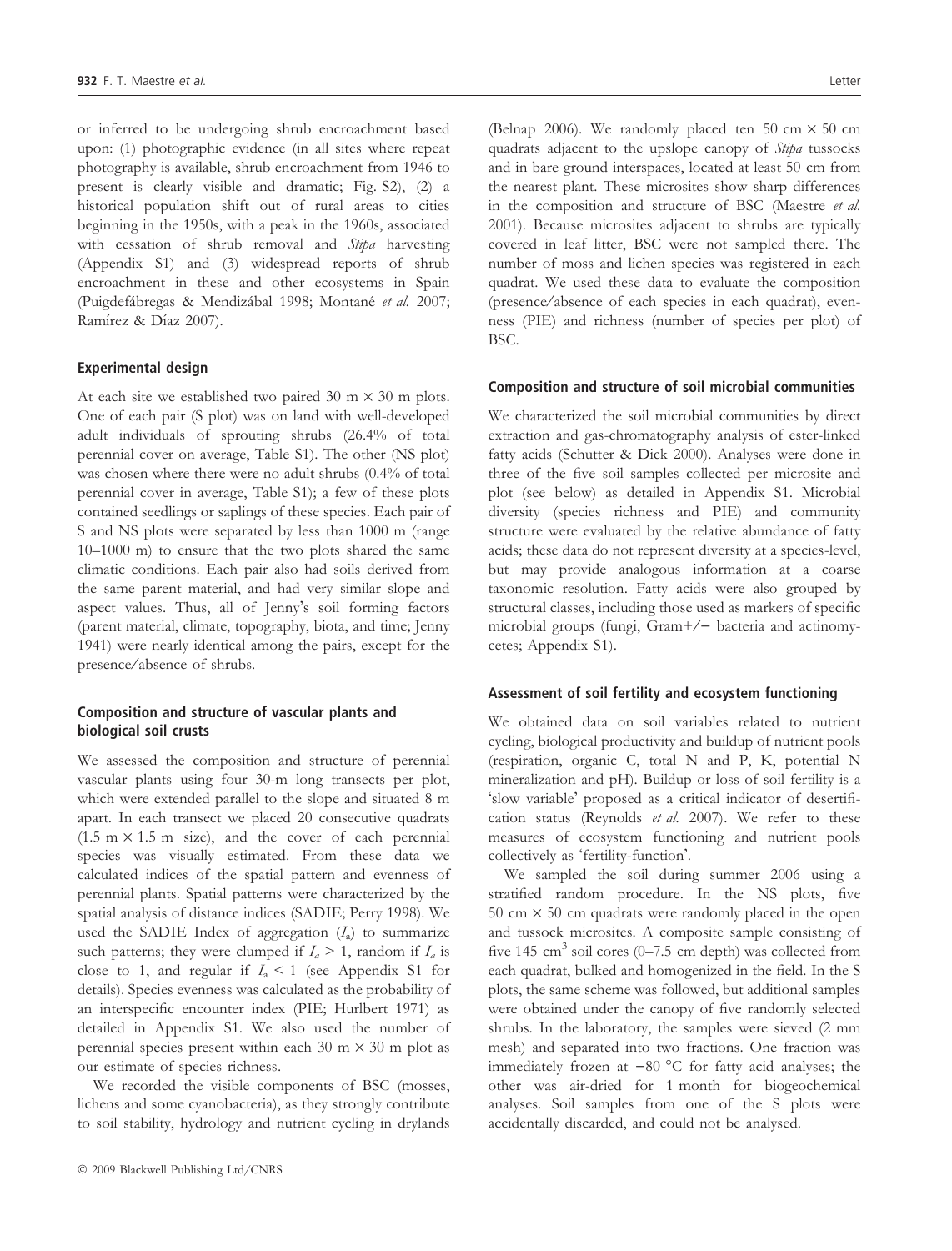or inferred to be undergoing shrub encroachment based upon: (1) photographic evidence (in all sites where repeat photography is available, shrub encroachment from 1946 to present is clearly visible and dramatic; Fig. S2), (2) a historical population shift out of rural areas to cities beginning in the 1950s, with a peak in the 1960s, associated with cessation of shrub removal and Stipa harvesting (Appendix S1) and (3) widespread reports of shrub encroachment in these and other ecosystems in Spain (Puigdefábregas & Mendizábal 1998; Montané et al. 2007; Ramírez & Díaz 2007).

#### Experimental design

At each site we established two paired 30 m  $\times$  30 m plots. One of each pair (S plot) was on land with well-developed adult individuals of sprouting shrubs (26.4% of total perennial cover on average, Table S1). The other (NS plot) was chosen where there were no adult shrubs (0.4% of total perennial cover in average, Table S1); a few of these plots contained seedlings or saplings of these species. Each pair of S and NS plots were separated by less than 1000 m (range 10–1000 m) to ensure that the two plots shared the same climatic conditions. Each pair also had soils derived from the same parent material, and had very similar slope and aspect values. Thus, all of Jenny's soil forming factors (parent material, climate, topography, biota, and time; Jenny 1941) were nearly identical among the pairs, except for the presence ⁄ absence of shrubs.

## Composition and structure of vascular plants and biological soil crusts

We assessed the composition and structure of perennial vascular plants using four 30-m long transects per plot, which were extended parallel to the slope and situated 8 m apart. In each transect we placed 20 consecutive quadrats  $(1.5 \text{ m} \times 1.5 \text{ m} \text{ size})$ , and the cover of each perennial species was visually estimated. From these data we calculated indices of the spatial pattern and evenness of perennial plants. Spatial patterns were characterized by the spatial analysis of distance indices (SADIE; Perry 1998). We used the SADIE Index of aggregation  $(I<sub>a</sub>)$  to summarize such patterns; they were clumped if  $I_a > 1$ , random if  $I_a$  is close to 1, and regular if  $I_a \leq 1$  (see Appendix S1 for details). Species evenness was calculated as the probability of an interspecific encounter index (PIE; Hurlbert 1971) as detailed in Appendix S1. We also used the number of perennial species present within each  $30 \text{ m} \times 30 \text{ m}$  plot as our estimate of species richness.

We recorded the visible components of BSC (mosses, lichens and some cyanobacteria), as they strongly contribute to soil stability, hydrology and nutrient cycling in drylands (Belnap 2006). We randomly placed ten 50 cm  $\times$  50 cm quadrats adjacent to the upslope canopy of *Stipa* tussocks and in bare ground interspaces, located at least 50 cm from the nearest plant. These microsites show sharp differences in the composition and structure of BSC (Maestre et al. 2001). Because microsites adjacent to shrubs are typically covered in leaf litter, BSC were not sampled there. The number of moss and lichen species was registered in each quadrat. We used these data to evaluate the composition (presence ⁄ absence of each species in each quadrat), evenness (PIE) and richness (number of species per plot) of BSC.

#### Composition and structure of soil microbial communities

We characterized the soil microbial communities by direct extraction and gas-chromatography analysis of ester-linked fatty acids (Schutter & Dick 2000). Analyses were done in three of the five soil samples collected per microsite and plot (see below) as detailed in Appendix S1. Microbial diversity (species richness and PIE) and community structure were evaluated by the relative abundance of fatty acids; these data do not represent diversity at a species-level, but may provide analogous information at a coarse taxonomic resolution. Fatty acids were also grouped by structural classes, including those used as markers of specific microbial groups (fungi, Gram+/- bacteria and actinomycetes; Appendix S1).

#### Assessment of soil fertility and ecosystem functioning

We obtained data on soil variables related to nutrient cycling, biological productivity and buildup of nutrient pools (respiration, organic C, total N and P, K, potential N mineralization and pH). Buildup or loss of soil fertility is a 'slow variable' proposed as a critical indicator of desertification status (Reynolds et al. 2007). We refer to these measures of ecosystem functioning and nutrient pools collectively as 'fertility-function'.

We sampled the soil during summer 2006 using a stratified random procedure. In the NS plots, five 50 cm  $\times$  50 cm quadrats were randomly placed in the open and tussock microsites. A composite sample consisting of five 145  $\text{cm}^3$  soil cores (0–7.5  $\text{cm}$  depth) was collected from each quadrat, bulked and homogenized in the field. In the S plots, the same scheme was followed, but additional samples were obtained under the canopy of five randomly selected shrubs. In the laboratory, the samples were sieved (2 mm mesh) and separated into two fractions. One fraction was immediately frozen at  $-80$  °C for fatty acid analyses; the other was air-dried for 1 month for biogeochemical analyses. Soil samples from one of the S plots were accidentally discarded, and could not be analysed.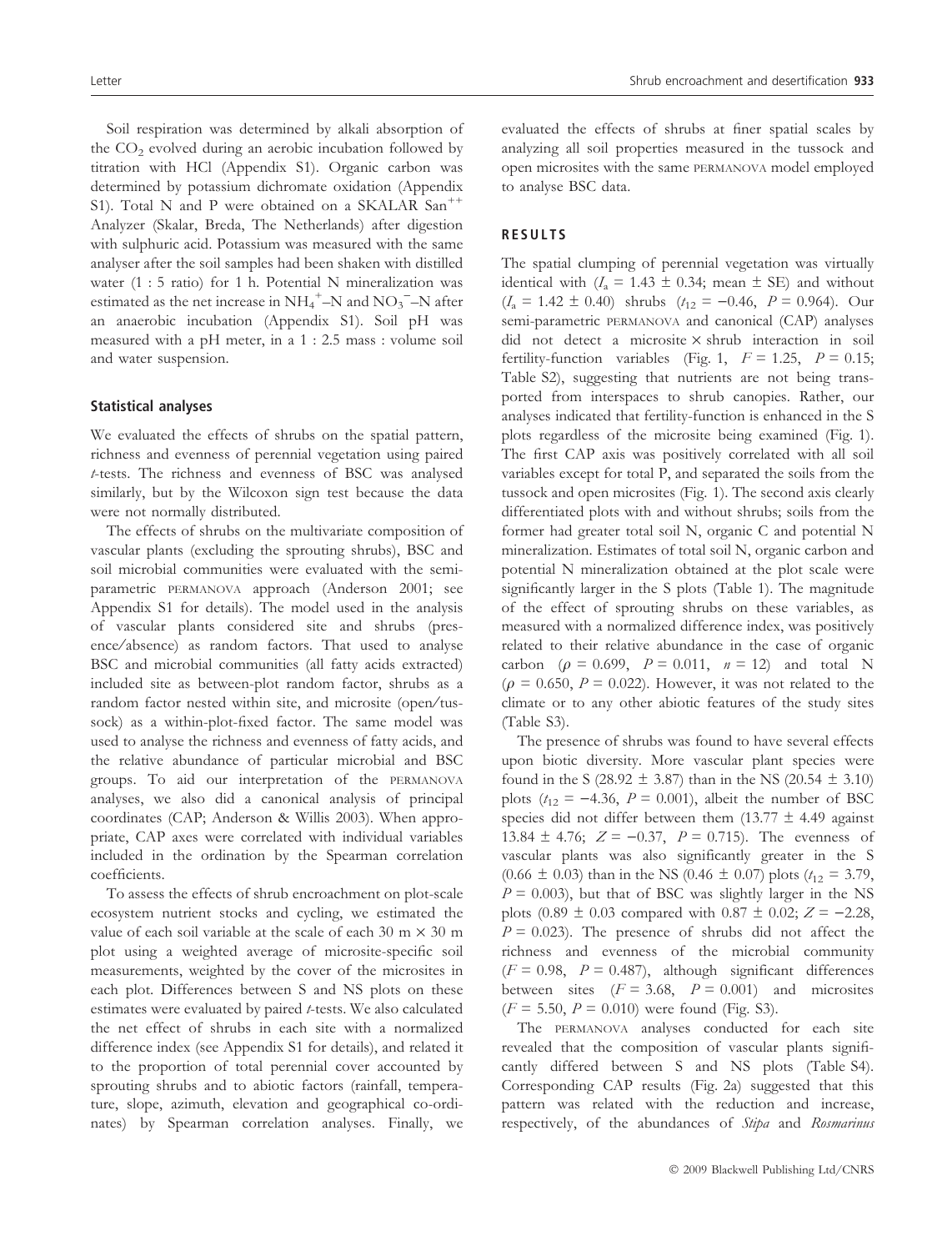Soil respiration was determined by alkali absorption of the  $CO<sub>2</sub>$  evolved during an aerobic incubation followed by titration with HCl (Appendix S1). Organic carbon was determined by potassium dichromate oxidation (Appendix S1). Total N and P were obtained on a SKALAR San<sup>++</sup> Analyzer (Skalar, Breda, The Netherlands) after digestion with sulphuric acid. Potassium was measured with the same analyser after the soil samples had been shaken with distilled water (1 : 5 ratio) for 1 h. Potential N mineralization was estimated as the net increase in  $NH_4^+$ –N and  $NO_3^-$ –N after an anaerobic incubation (Appendix S1). Soil pH was measured with a pH meter, in a 1 : 2.5 mass : volume soil and water suspension.

#### Statistical analyses

We evaluated the effects of shrubs on the spatial pattern, richness and evenness of perennial vegetation using paired t-tests. The richness and evenness of BSC was analysed similarly, but by the Wilcoxon sign test because the data were not normally distributed.

The effects of shrubs on the multivariate composition of vascular plants (excluding the sprouting shrubs), BSC and soil microbial communities were evaluated with the semiparametric PERMANOVA approach (Anderson 2001; see Appendix S1 for details). The model used in the analysis of vascular plants considered site and shrubs (presence/absence) as random factors. That used to analyse BSC and microbial communities (all fatty acids extracted) included site as between-plot random factor, shrubs as a random factor nested within site, and microsite (open/tussock) as a within-plot-fixed factor. The same model was used to analyse the richness and evenness of fatty acids, and the relative abundance of particular microbial and BSC groups. To aid our interpretation of the PERMANOVA analyses, we also did a canonical analysis of principal coordinates (CAP; Anderson & Willis 2003). When appropriate, CAP axes were correlated with individual variables included in the ordination by the Spearman correlation coefficients.

To assess the effects of shrub encroachment on plot-scale ecosystem nutrient stocks and cycling, we estimated the value of each soil variable at the scale of each 30 m  $\times$  30 m plot using a weighted average of microsite-specific soil measurements, weighted by the cover of the microsites in each plot. Differences between S and NS plots on these estimates were evaluated by paired t-tests. We also calculated the net effect of shrubs in each site with a normalized difference index (see Appendix S1 for details), and related it to the proportion of total perennial cover accounted by sprouting shrubs and to abiotic factors (rainfall, temperature, slope, azimuth, elevation and geographical co-ordinates) by Spearman correlation analyses. Finally, we

evaluated the effects of shrubs at finer spatial scales by analyzing all soil properties measured in the tussock and open microsites with the same PERMANOVA model employed to analyse BSC data.

#### RESULTS

The spatial clumping of perennial vegetation was virtually identical with  $(I_a = 1.43 \pm 0.34$ ; mean  $\pm$  SE) and without  $(I_a = 1.42 \pm 0.40)$  shrubs  $(t_{12} = -0.46, P = 0.964)$ . Our semi-parametric PERMANOVA and canonical (CAP) analyses did not detect a microsite  $\times$  shrub interaction in soil fertility-function variables (Fig. 1,  $F = 1.25$ ,  $P = 0.15$ ; Table S2), suggesting that nutrients are not being transported from interspaces to shrub canopies. Rather, our analyses indicated that fertility-function is enhanced in the S plots regardless of the microsite being examined (Fig. 1). The first CAP axis was positively correlated with all soil variables except for total P, and separated the soils from the tussock and open microsites (Fig. 1). The second axis clearly differentiated plots with and without shrubs; soils from the former had greater total soil N, organic C and potential N mineralization. Estimates of total soil N, organic carbon and potential N mineralization obtained at the plot scale were significantly larger in the S plots (Table 1). The magnitude of the effect of sprouting shrubs on these variables, as measured with a normalized difference index, was positively related to their relative abundance in the case of organic carbon ( $\rho = 0.699$ ,  $P = 0.011$ ,  $n = 12$ ) and total N  $(\rho = 0.650, P = 0.022)$ . However, it was not related to the climate or to any other abiotic features of the study sites (Table S3).

The presence of shrubs was found to have several effects upon biotic diversity. More vascular plant species were found in the S (28.92  $\pm$  3.87) than in the NS (20.54  $\pm$  3.10) plots ( $t_{12} = -4.36$ ,  $P = 0.001$ ), albeit the number of BSC species did not differ between them (13.77  $\pm$  4.49 against 13.84  $\pm$  4.76;  $Z = -0.37$ ,  $P = 0.715$ ). The evenness of vascular plants was also significantly greater in the S  $(0.66 \pm 0.03)$  than in the NS  $(0.46 \pm 0.07)$  plots  $(t_{12} = 3.79)$ ,  $P = 0.003$ ), but that of BSC was slightly larger in the NS plots (0.89  $\pm$  0.03 compared with 0.87  $\pm$  0.02;  $Z = -2.28$ ,  $P = 0.023$ ). The presence of shrubs did not affect the richness and evenness of the microbial community  $(F = 0.98, P = 0.487)$ , although significant differences between sites  $(F = 3.68, P = 0.001)$  and microsites  $(F = 5.50, P = 0.010)$  were found (Fig. S3).

The PERMANOVA analyses conducted for each site revealed that the composition of vascular plants significantly differed between S and NS plots (Table S4). Corresponding CAP results (Fig. 2a) suggested that this pattern was related with the reduction and increase, respectively, of the abundances of Stipa and Rosmarinus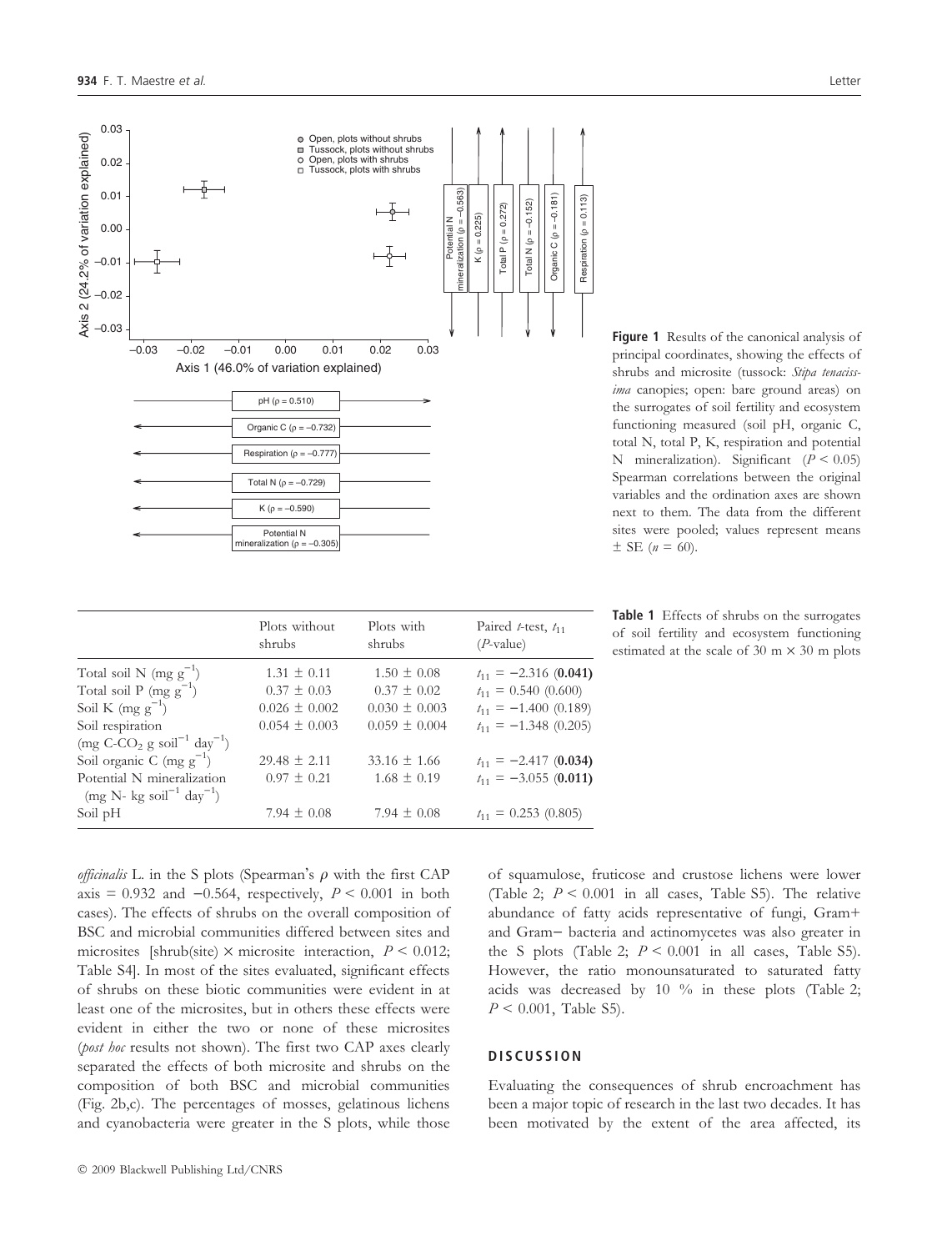

Figure 1 Results of the canonical analysis of principal coordinates, showing the effects of shrubs and microsite (tussock: Stipa tenacissima canopies; open: bare ground areas) on the surrogates of soil fertility and ecosystem functioning measured (soil pH, organic C, total N, total P, K, respiration and potential N mineralization). Significant  $(P < 0.05)$ Spearman correlations between the original variables and the ordination axes are shown next to them. The data from the different sites were pooled; values represent means  $\pm$  SE (*n* = 60).

|                                                                               | Plots without<br>shrubs | Plots with<br>shrubs | Paired t-test, $t_{11}$<br>$(P$ -value) |
|-------------------------------------------------------------------------------|-------------------------|----------------------|-----------------------------------------|
| Total soil N $(mg g^{-1})$                                                    | $1.31 \pm 0.11$         | $1.50 \pm 0.08$      | $t_{11} = -2.316(0.041)$                |
| Total soil P (mg $g^{-1}$ )                                                   | $0.37 \pm 0.03$         | $0.37 \pm 0.02$      | $t_{11} = 0.540 (0.600)$                |
| Soil K (mg $g^{-1}$ )                                                         | $0.026 \pm 0.002$       | $0.030 \pm 0.003$    | $t_{11} = -1.400 (0.189)$               |
| Soil respiration                                                              | $0.054 \pm 0.003$       | $0.059 \pm 0.004$    | $t_{11} = -1.348(0.205)$                |
| $\left(\text{mg C-CO}_2 \text{ g soil}^{-1} \text{ day}^{-1}\right)$          |                         |                      |                                         |
| Soil organic C (mg $g^{-1}$ )                                                 | $29.48 \pm 2.11$        | $33.16 \pm 1.66$     | $t_{11} = -2.417(0.034)$                |
| Potential N mineralization<br>$(mg \text{ N- kg soil}^{-1} \text{ day}^{-1})$ | $0.97 \pm 0.21$         | $1.68 \pm 0.19$      | $t_{11} = -3.055(0.011)$                |
| Soil pH                                                                       | 7.94 $\pm$ 0.08         | 7.94 $\pm$ 0.08      | $t_{11} = 0.253(0.805)$                 |

Table 1 Effects of shrubs on the surrogates of soil fertility and ecosystem functioning estimated at the scale of 30 m  $\times$  30 m plots

*officinalis* L. in the S plots (Spearman's  $\rho$  with the first CAP axis = 0.932 and  $-0.564$ , respectively,  $P < 0.001$  in both cases). The effects of shrubs on the overall composition of BSC and microbial communities differed between sites and microsites [shrub(site)  $\times$  microsite interaction,  $P \le 0.012$ ; Table S4]. In most of the sites evaluated, significant effects of shrubs on these biotic communities were evident in at least one of the microsites, but in others these effects were evident in either the two or none of these microsites (*post hoc* results not shown). The first two CAP axes clearly separated the effects of both microsite and shrubs on the composition of both BSC and microbial communities (Fig. 2b,c). The percentages of mosses, gelatinous lichens and cyanobacteria were greater in the S plots, while those of squamulose, fruticose and crustose lichens were lower (Table 2;  $P < 0.001$  in all cases, Table S5). The relative abundance of fatty acids representative of fungi, Gram+ and Gram- bacteria and actinomycetes was also greater in the S plots (Table 2;  $P < 0.001$  in all cases, Table S5). However, the ratio monounsaturated to saturated fatty acids was decreased by 10 % in these plots (Table 2;  $P < 0.001$ , Table S5).

#### **DISCUSSION**

Evaluating the consequences of shrub encroachment has been a major topic of research in the last two decades. It has been motivated by the extent of the area affected, its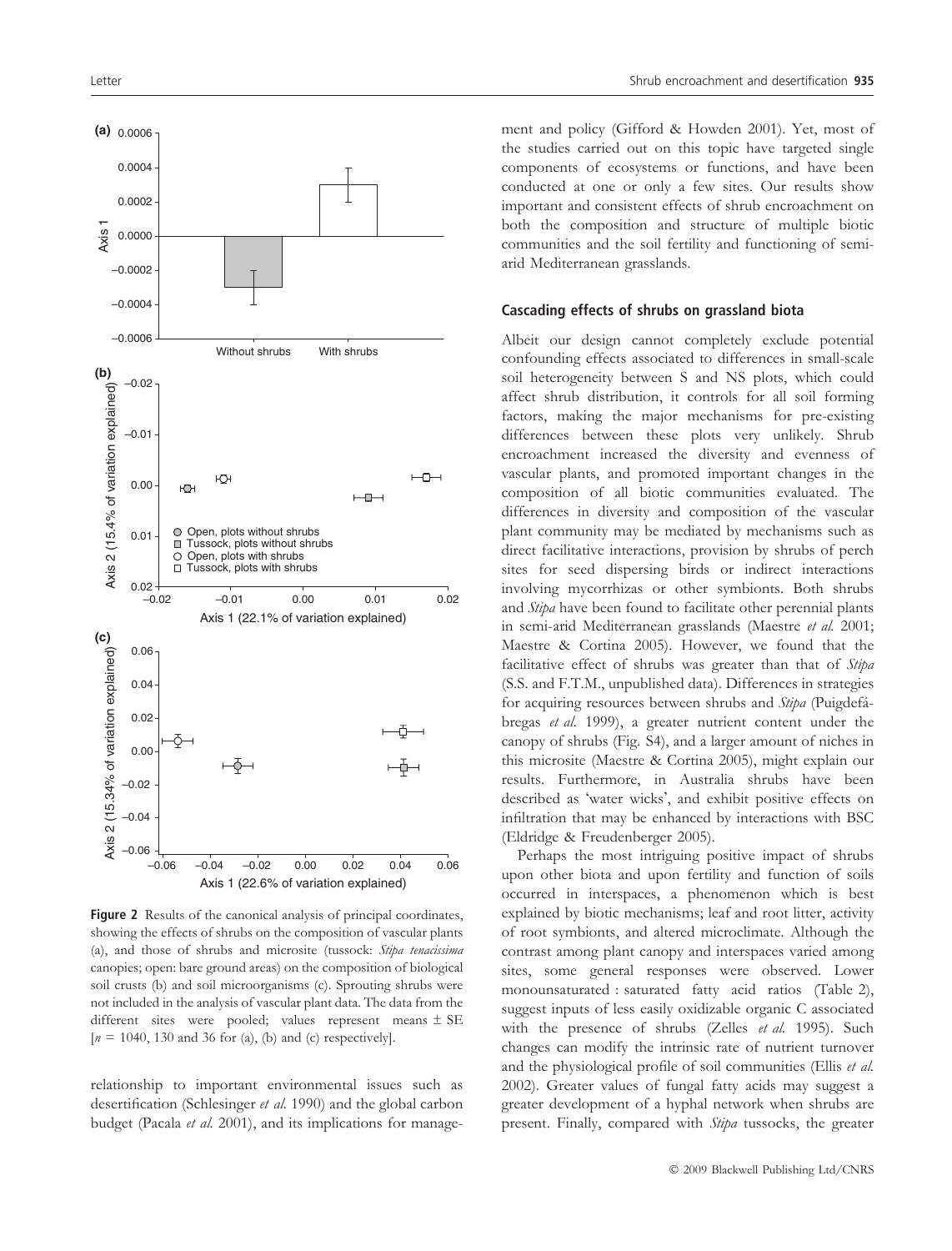

Figure 2 Results of the canonical analysis of principal coordinates, showing the effects of shrubs on the composition of vascular plants (a), and those of shrubs and microsite (tussock: Stipa tenacissima canopies; open: bare ground areas) on the composition of biological soil crusts (b) and soil microorganisms (c). Sprouting shrubs were not included in the analysis of vascular plant data. The data from the different sites were pooled; values represent means ± SE  $[n = 1040, 130 \text{ and } 36 \text{ for (a), (b) and (c) respectively}].$ 

relationship to important environmental issues such as desertification (Schlesinger et al. 1990) and the global carbon budget (Pacala et al. 2001), and its implications for management and policy (Gifford & Howden 2001). Yet, most of the studies carried out on this topic have targeted single components of ecosystems or functions, and have been conducted at one or only a few sites. Our results show important and consistent effects of shrub encroachment on both the composition and structure of multiple biotic communities and the soil fertility and functioning of semiarid Mediterranean grasslands.

#### Cascading effects of shrubs on grassland biota

Albeit our design cannot completely exclude potential confounding effects associated to differences in small-scale soil heterogeneity between S and NS plots, which could affect shrub distribution, it controls for all soil forming factors, making the major mechanisms for pre-existing differences between these plots very unlikely. Shrub encroachment increased the diversity and evenness of vascular plants, and promoted important changes in the composition of all biotic communities evaluated. The differences in diversity and composition of the vascular plant community may be mediated by mechanisms such as direct facilitative interactions, provision by shrubs of perch sites for seed dispersing birds or indirect interactions involving mycorrhizas or other symbionts. Both shrubs and Stipa have been found to facilitate other perennial plants in semi-arid Mediterranean grasslands (Maestre et al. 2001; Maestre & Cortina 2005). However, we found that the facilitative effect of shrubs was greater than that of Stipa (S.S. and F.T.M., unpublished data). Differences in strategies for acquiring resources between shrubs and Stipa (Puigdefábregas et al. 1999), a greater nutrient content under the canopy of shrubs (Fig. S4), and a larger amount of niches in this microsite (Maestre & Cortina 2005), might explain our results. Furthermore, in Australia shrubs have been described as 'water wicks', and exhibit positive effects on infiltration that may be enhanced by interactions with BSC (Eldridge & Freudenberger 2005).

Perhaps the most intriguing positive impact of shrubs upon other biota and upon fertility and function of soils occurred in interspaces, a phenomenon which is best explained by biotic mechanisms; leaf and root litter, activity of root symbionts, and altered microclimate. Although the contrast among plant canopy and interspaces varied among sites, some general responses were observed. Lower monounsaturated : saturated fatty acid ratios (Table 2), suggest inputs of less easily oxidizable organic C associated with the presence of shrubs (Zelles et al. 1995). Such changes can modify the intrinsic rate of nutrient turnover and the physiological profile of soil communities (Ellis et al. 2002). Greater values of fungal fatty acids may suggest a greater development of a hyphal network when shrubs are present. Finally, compared with *Stipa* tussocks, the greater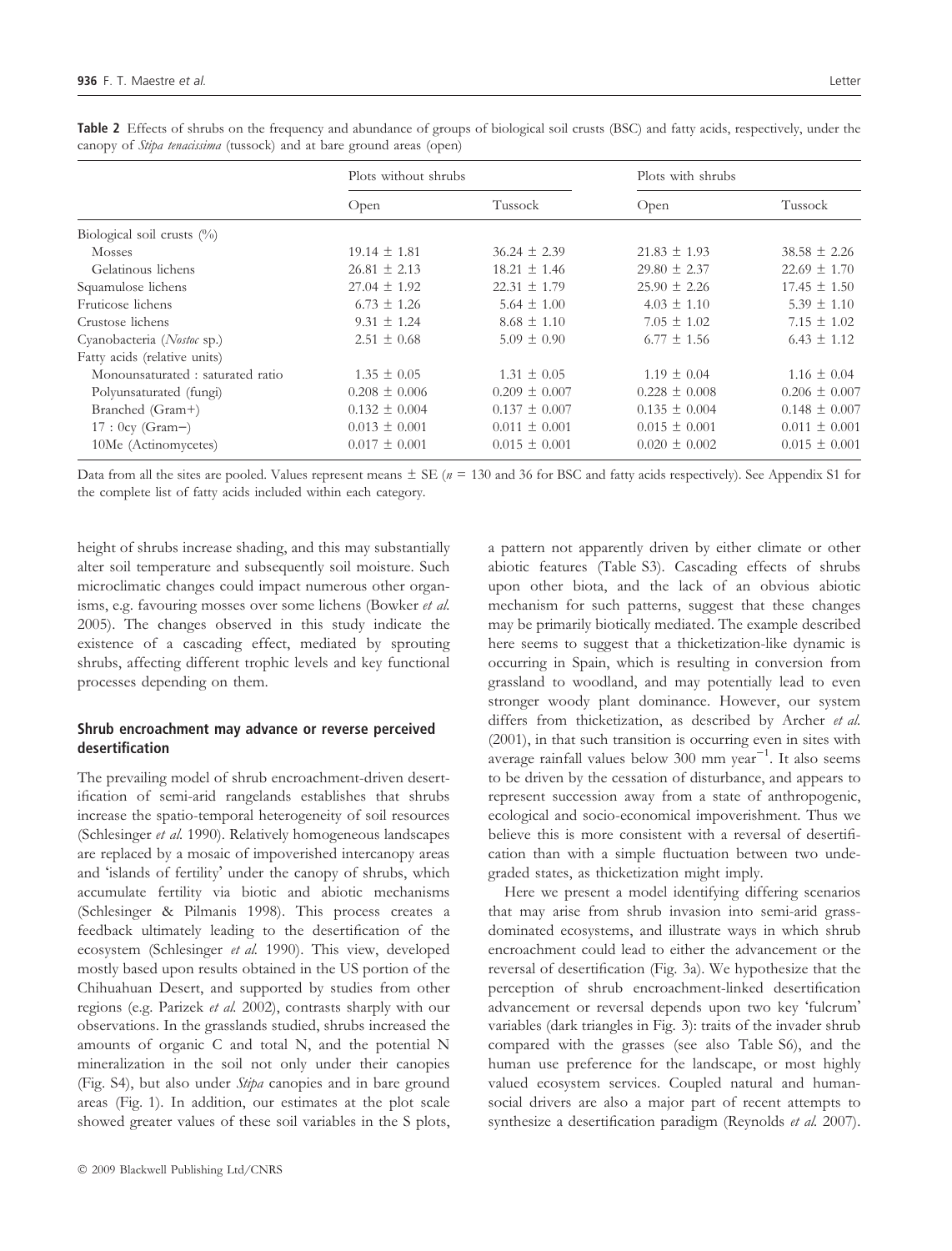|                                  | Plots without shrubs |                   | Plots with shrubs |                   |
|----------------------------------|----------------------|-------------------|-------------------|-------------------|
|                                  | Open                 | Tussock           | Open              | Tussock           |
| Biological soil crusts $(\%)$    |                      |                   |                   |                   |
| <b>Mosses</b>                    | $19.14 \pm 1.81$     | $36.24 \pm 2.39$  | $21.83 \pm 1.93$  | $38.58 \pm 2.26$  |
| Gelatinous lichens               | $26.81 \pm 2.13$     | $18.21 \pm 1.46$  | $29.80 \pm 2.37$  | $22.69 \pm 1.70$  |
| Squamulose lichens               | $27.04 \pm 1.92$     | $22.31 \pm 1.79$  | $25.90 \pm 2.26$  | $17.45 \pm 1.50$  |
| Fruticose lichens                | $6.73 \pm 1.26$      | $5.64 \pm 1.00$   | $4.03 \pm 1.10$   | $5.39 \pm 1.10$   |
| Crustose lichens                 | $9.31 \pm 1.24$      | $8.68 \pm 1.10$   | $7.05 \pm 1.02$   | $7.15 \pm 1.02$   |
| Cyanobacteria (Nostoc sp.)       | $2.51 \pm 0.68$      | $5.09 \pm 0.90$   | $6.77 \pm 1.56$   | $6.43 \pm 1.12$   |
| Fatty acids (relative units)     |                      |                   |                   |                   |
| Monounsaturated: saturated ratio | $1.35 \pm 0.05$      | $1.31 \pm 0.05$   | $1.19 \pm 0.04$   | $1.16 \pm 0.04$   |
| Polyunsaturated (fungi)          | $0.208 \pm 0.006$    | $0.209 \pm 0.007$ | $0.228 \pm 0.008$ | $0.206 \pm 0.007$ |
| Branched (Gram+)                 | $0.132 \pm 0.004$    | $0.137 \pm 0.007$ | $0.135 \pm 0.004$ | $0.148 \pm 0.007$ |
| $17:0cy (Gram-)$                 | $0.013 \pm 0.001$    | $0.011 \pm 0.001$ | $0.015 \pm 0.001$ | $0.011 \pm 0.001$ |
| 10Me (Actinomycetes)             | $0.017 \pm 0.001$    | $0.015 \pm 0.001$ | $0.020 \pm 0.002$ | $0.015 \pm 0.001$ |

Table 2 Effects of shrubs on the frequency and abundance of groups of biological soil crusts (BSC) and fatty acids, respectively, under the canopy of Stipa tenacissima (tussock) and at bare ground areas (open)

Data from all the sites are pooled. Values represent means  $\pm$  SE ( $n = 130$  and 36 for BSC and fatty acids respectively). See Appendix S1 for the complete list of fatty acids included within each category.

height of shrubs increase shading, and this may substantially alter soil temperature and subsequently soil moisture. Such microclimatic changes could impact numerous other organisms, e.g. favouring mosses over some lichens (Bowker et al. 2005). The changes observed in this study indicate the existence of a cascading effect, mediated by sprouting shrubs, affecting different trophic levels and key functional processes depending on them.

# Shrub encroachment may advance or reverse perceived desertification

The prevailing model of shrub encroachment-driven desertification of semi-arid rangelands establishes that shrubs increase the spatio-temporal heterogeneity of soil resources (Schlesinger et al. 1990). Relatively homogeneous landscapes are replaced by a mosaic of impoverished intercanopy areas and 'islands of fertility' under the canopy of shrubs, which accumulate fertility via biotic and abiotic mechanisms (Schlesinger & Pilmanis 1998). This process creates a feedback ultimately leading to the desertification of the ecosystem (Schlesinger et al. 1990). This view, developed mostly based upon results obtained in the US portion of the Chihuahuan Desert, and supported by studies from other regions (e.g. Parizek et al. 2002), contrasts sharply with our observations. In the grasslands studied, shrubs increased the amounts of organic C and total N, and the potential N mineralization in the soil not only under their canopies (Fig. S4), but also under Stipa canopies and in bare ground areas (Fig. 1). In addition, our estimates at the plot scale showed greater values of these soil variables in the S plots, a pattern not apparently driven by either climate or other abiotic features (Table S3). Cascading effects of shrubs upon other biota, and the lack of an obvious abiotic mechanism for such patterns, suggest that these changes may be primarily biotically mediated. The example described here seems to suggest that a thicketization-like dynamic is occurring in Spain, which is resulting in conversion from grassland to woodland, and may potentially lead to even stronger woody plant dominance. However, our system differs from thicketization, as described by Archer et al. (2001), in that such transition is occurring even in sites with average rainfall values below  $300$  mm year<sup>-1</sup>. It also seems to be driven by the cessation of disturbance, and appears to represent succession away from a state of anthropogenic, ecological and socio-economical impoverishment. Thus we believe this is more consistent with a reversal of desertification than with a simple fluctuation between two undegraded states, as thicketization might imply.

Here we present a model identifying differing scenarios that may arise from shrub invasion into semi-arid grassdominated ecosystems, and illustrate ways in which shrub encroachment could lead to either the advancement or the reversal of desertification (Fig. 3a). We hypothesize that the perception of shrub encroachment-linked desertification advancement or reversal depends upon two key 'fulcrum' variables (dark triangles in Fig. 3): traits of the invader shrub compared with the grasses (see also Table S6), and the human use preference for the landscape, or most highly valued ecosystem services. Coupled natural and humansocial drivers are also a major part of recent attempts to synthesize a desertification paradigm (Reynolds et al. 2007).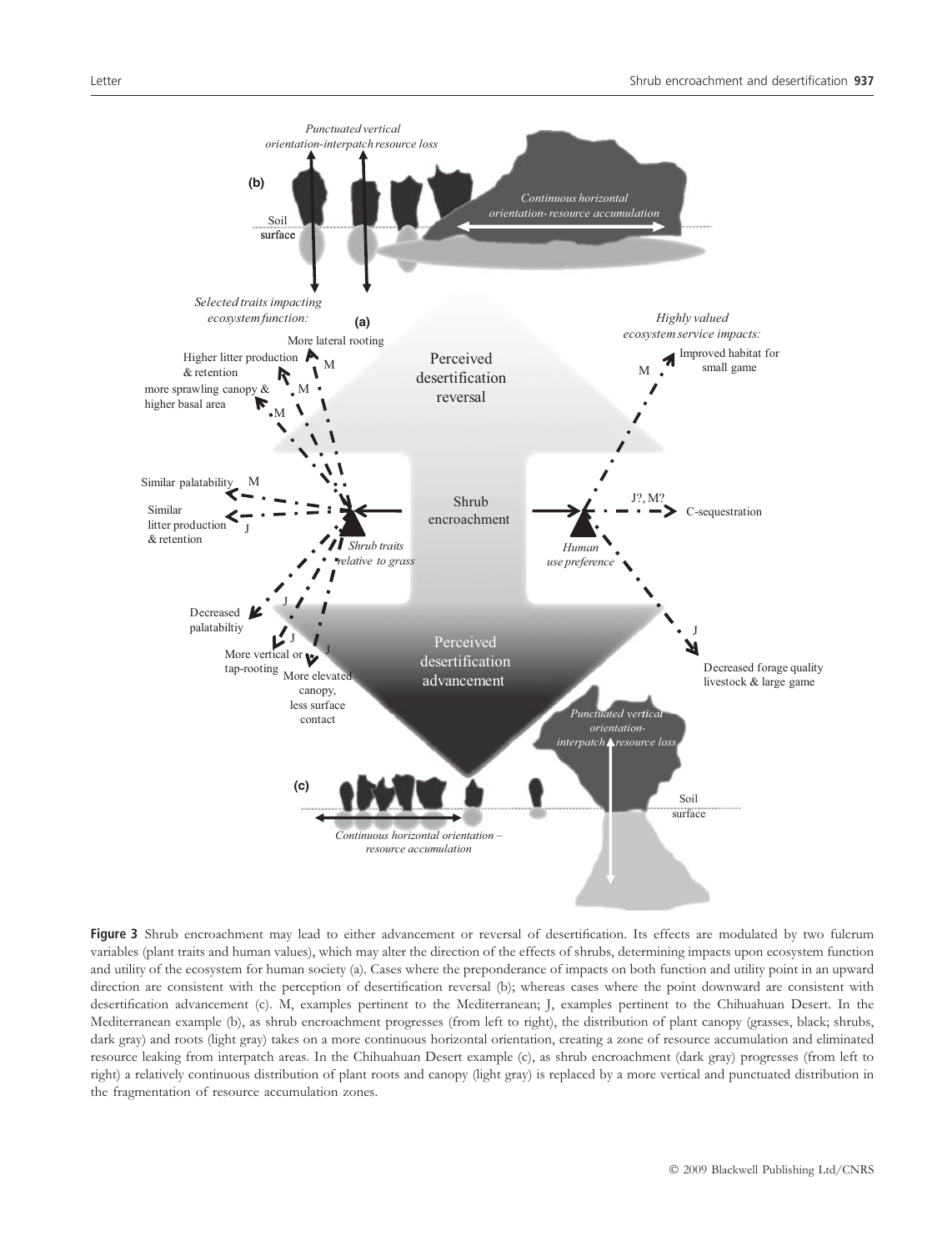

Figure 3 Shrub encroachment may lead to either advancement or reversal of desertification. Its effects are modulated by two fulcrum variables (plant traits and human values), which may alter the direction of the effects of shrubs, determining impacts upon ecosystem function and utility of the ecosystem for human society (a). Cases where the preponderance of impacts on both function and utility point in an upward direction are consistent with the perception of desertification reversal (b); whereas cases where the point downward are consistent with desertification advancement (c). M, examples pertinent to the Mediterranean; J, examples pertinent to the Chihuahuan Desert. In the Mediterranean example (b), as shrub encroachment progresses (from left to right), the distribution of plant canopy (grasses, black; shrubs, dark gray) and roots (light gray) takes on a more continuous horizontal orientation, creating a zone of resource accumulation and eliminated resource leaking from interpatch areas. In the Chihuahuan Desert example (c), as shrub encroachment (dark gray) progresses (from left to right) a relatively continuous distribution of plant roots and canopy (light gray) is replaced by a more vertical and punctuated distribution in the fragmentation of resource accumulation zones.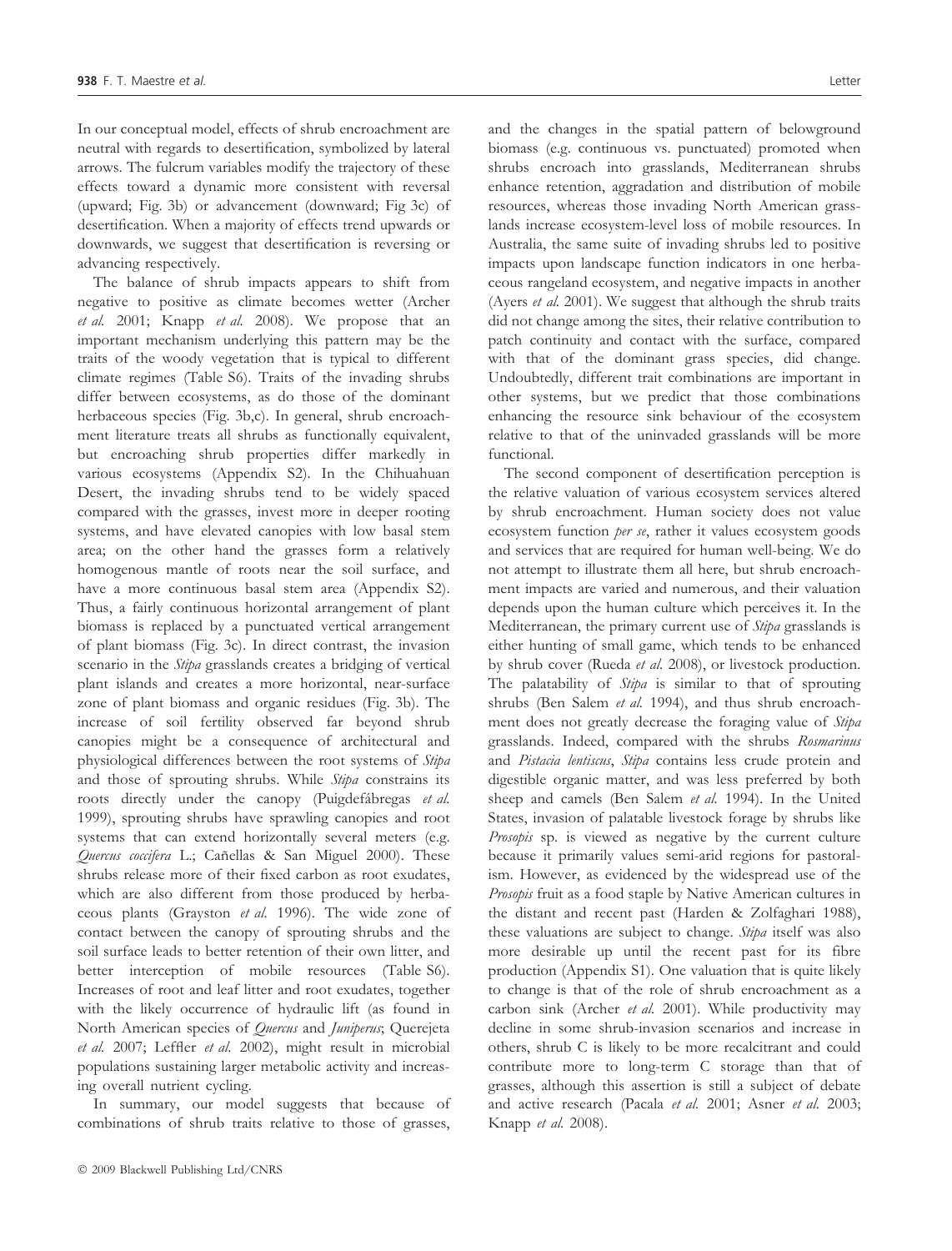In our conceptual model, effects of shrub encroachment are neutral with regards to desertification, symbolized by lateral arrows. The fulcrum variables modify the trajectory of these effects toward a dynamic more consistent with reversal (upward; Fig. 3b) or advancement (downward; Fig 3c) of desertification. When a majority of effects trend upwards or downwards, we suggest that desertification is reversing or advancing respectively.

The balance of shrub impacts appears to shift from negative to positive as climate becomes wetter (Archer et al. 2001; Knapp et al. 2008). We propose that an important mechanism underlying this pattern may be the traits of the woody vegetation that is typical to different climate regimes (Table S6). Traits of the invading shrubs differ between ecosystems, as do those of the dominant herbaceous species (Fig. 3b,c). In general, shrub encroachment literature treats all shrubs as functionally equivalent, but encroaching shrub properties differ markedly in various ecosystems (Appendix S2). In the Chihuahuan Desert, the invading shrubs tend to be widely spaced compared with the grasses, invest more in deeper rooting systems, and have elevated canopies with low basal stem area; on the other hand the grasses form a relatively homogenous mantle of roots near the soil surface, and have a more continuous basal stem area (Appendix S2). Thus, a fairly continuous horizontal arrangement of plant biomass is replaced by a punctuated vertical arrangement of plant biomass (Fig. 3c). In direct contrast, the invasion scenario in the Stipa grasslands creates a bridging of vertical plant islands and creates a more horizontal, near-surface zone of plant biomass and organic residues (Fig. 3b). The increase of soil fertility observed far beyond shrub canopies might be a consequence of architectural and physiological differences between the root systems of Stipa and those of sprouting shrubs. While Stipa constrains its roots directly under the canopy (Puigdefábregas et al. 1999), sprouting shrubs have sprawling canopies and root systems that can extend horizontally several meters (e.g. Quercus coccifera L.; Cañellas & San Miguel 2000). These shrubs release more of their fixed carbon as root exudates, which are also different from those produced by herbaceous plants (Grayston et al. 1996). The wide zone of contact between the canopy of sprouting shrubs and the soil surface leads to better retention of their own litter, and better interception of mobile resources (Table S6). Increases of root and leaf litter and root exudates, together with the likely occurrence of hydraulic lift (as found in North American species of *Quercus* and *Juniperus*; Querejeta et al. 2007; Leffler et al. 2002), might result in microbial populations sustaining larger metabolic activity and increasing overall nutrient cycling.

In summary, our model suggests that because of combinations of shrub traits relative to those of grasses,

and the changes in the spatial pattern of belowground biomass (e.g. continuous vs. punctuated) promoted when shrubs encroach into grasslands, Mediterranean shrubs enhance retention, aggradation and distribution of mobile resources, whereas those invading North American grasslands increase ecosystem-level loss of mobile resources. In Australia, the same suite of invading shrubs led to positive impacts upon landscape function indicators in one herbaceous rangeland ecosystem, and negative impacts in another (Ayers et al. 2001). We suggest that although the shrub traits did not change among the sites, their relative contribution to patch continuity and contact with the surface, compared with that of the dominant grass species, did change. Undoubtedly, different trait combinations are important in other systems, but we predict that those combinations enhancing the resource sink behaviour of the ecosystem relative to that of the uninvaded grasslands will be more functional.

The second component of desertification perception is the relative valuation of various ecosystem services altered by shrub encroachment. Human society does not value ecosystem function per se, rather it values ecosystem goods and services that are required for human well-being. We do not attempt to illustrate them all here, but shrub encroachment impacts are varied and numerous, and their valuation depends upon the human culture which perceives it. In the Mediterranean, the primary current use of Stipa grasslands is either hunting of small game, which tends to be enhanced by shrub cover (Rueda et al. 2008), or livestock production. The palatability of *Stipa* is similar to that of sprouting shrubs (Ben Salem et al. 1994), and thus shrub encroachment does not greatly decrease the foraging value of Stipa grasslands. Indeed, compared with the shrubs Rosmarinus and Pistacia lentiscus, Stipa contains less crude protein and digestible organic matter, and was less preferred by both sheep and camels (Ben Salem et al. 1994). In the United States, invasion of palatable livestock forage by shrubs like Prosopis sp. is viewed as negative by the current culture because it primarily values semi-arid regions for pastoralism. However, as evidenced by the widespread use of the Prosopis fruit as a food staple by Native American cultures in the distant and recent past (Harden & Zolfaghari 1988), these valuations are subject to change. Stipa itself was also more desirable up until the recent past for its fibre production (Appendix S1). One valuation that is quite likely to change is that of the role of shrub encroachment as a carbon sink (Archer et al. 2001). While productivity may decline in some shrub-invasion scenarios and increase in others, shrub C is likely to be more recalcitrant and could contribute more to long-term C storage than that of grasses, although this assertion is still a subject of debate and active research (Pacala et al. 2001; Asner et al. 2003; Knapp et al. 2008).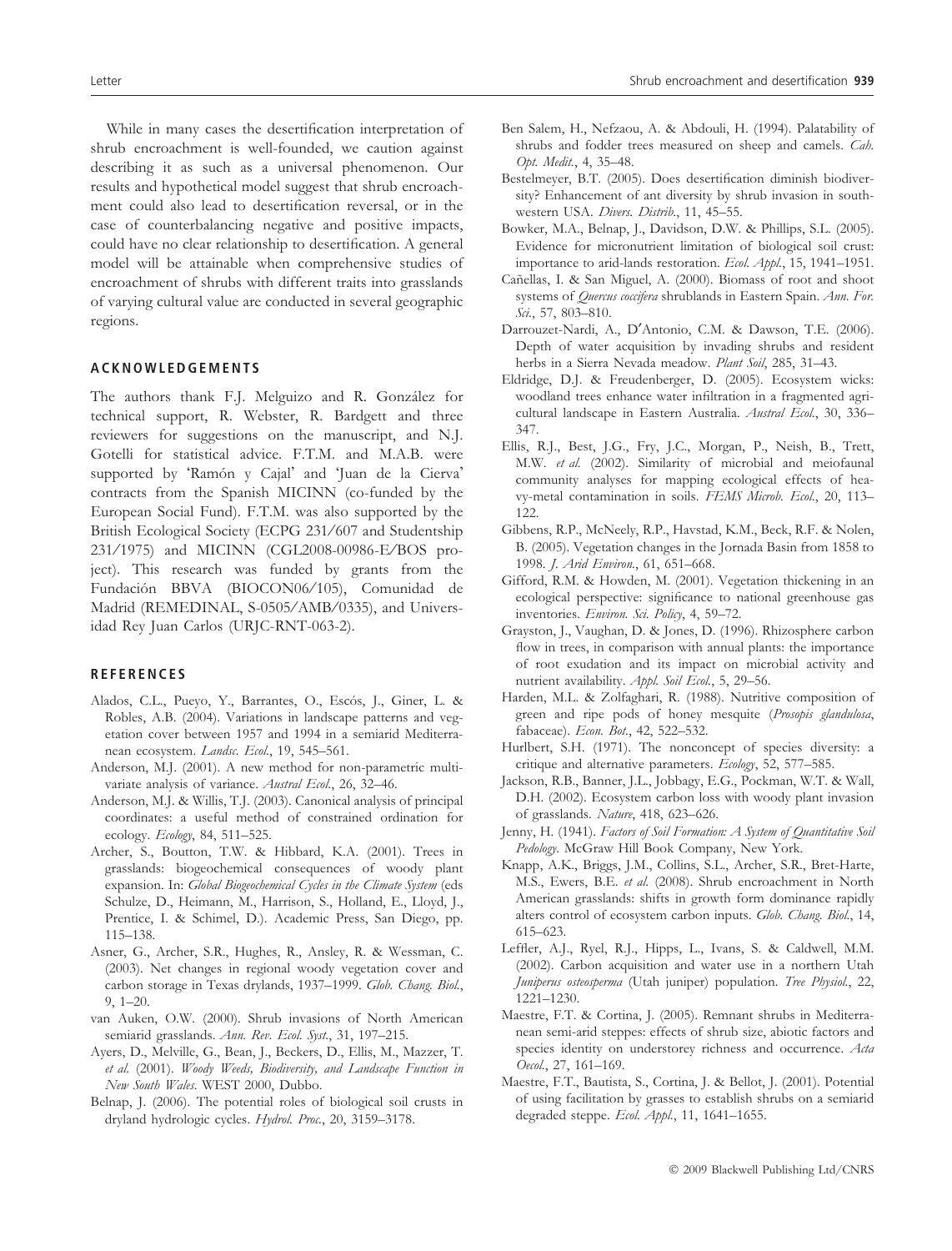While in many cases the desertification interpretation of shrub encroachment is well-founded, we caution against describing it as such as a universal phenomenon. Our results and hypothetical model suggest that shrub encroachment could also lead to desertification reversal, or in the case of counterbalancing negative and positive impacts, could have no clear relationship to desertification. A general model will be attainable when comprehensive studies of encroachment of shrubs with different traits into grasslands of varying cultural value are conducted in several geographic regions.

#### ACKNOWLEDGEMENTS

The authors thank F.J. Melguizo and R. González for technical support, R. Webster, R. Bardgett and three reviewers for suggestions on the manuscript, and N.J. Gotelli for statistical advice. F.T.M. and M.A.B. were supported by 'Ramón y Cajal' and 'Juan de la Cierva' contracts from the Spanish MICINN (co-funded by the European Social Fund). F.T.M. was also supported by the British Ecological Society (ECPG 231/607 and Studentship 231/1975) and MICINN (CGL2008-00986-E/BOS project). This research was funded by grants from the Fundación BBVA (BIOCON06/105), Comunidad de Madrid (REMEDINAL, S-0505/AMB/0335), and Universidad Rey Juan Carlos (URJC-RNT-063-2).

#### **REFERENCES**

- Alados, C.L., Pueyo, Y., Barrantes, O., Escós, J., Giner, L. & Robles, A.B. (2004). Variations in landscape patterns and vegetation cover between 1957 and 1994 in a semiarid Mediterranean ecosystem. Landsc. Ecol., 19, 545-561.
- Anderson, M.J. (2001). A new method for non-parametric multivariate analysis of variance. Austral Ecol., 26, 32–46.
- Anderson, M.J. & Willis, T.J. (2003). Canonical analysis of principal coordinates: a useful method of constrained ordination for ecology. Ecology, 84, 511–525.
- Archer, S., Boutton, T.W. & Hibbard, K.A. (2001). Trees in grasslands: biogeochemical consequences of woody plant expansion. In: Global Biogeochemical Cycles in the Climate System (eds Schulze, D., Heimann, M., Harrison, S., Holland, E., Lloyd, J., Prentice, I. & Schimel, D.). Academic Press, San Diego, pp. 115–138.
- Asner, G., Archer, S.R., Hughes, R., Ansley, R. & Wessman, C. (2003). Net changes in regional woody vegetation cover and carbon storage in Texas drylands, 1937–1999. Glob. Chang. Biol., 9, 1–20.
- van Auken, O.W. (2000). Shrub invasions of North American semiarid grasslands. Ann. Rev. Ecol. Syst., 31, 197-215.
- Ayers, D., Melville, G., Bean, J., Beckers, D., Ellis, M., Mazzer, T. et al. (2001). Woody Weeds, Biodiversity, and Landscape Function in New South Wales. WEST 2000, Dubbo.
- Belnap, J. (2006). The potential roles of biological soil crusts in dryland hydrologic cycles. Hydrol. Proc., 20, 3159–3178.
- Ben Salem, H., Nefzaou, A. & Abdouli, H. (1994). Palatability of shrubs and fodder trees measured on sheep and camels. Cah. Opt. Medit., 4, 35–48.
- Bestelmeyer, B.T. (2005). Does desertification diminish biodiversity? Enhancement of ant diversity by shrub invasion in southwestern USA. Divers. Distrib., 11, 45-55.
- Bowker, M.A., Belnap, J., Davidson, D.W. & Phillips, S.L. (2005). Evidence for micronutrient limitation of biological soil crust: importance to arid-lands restoration. Ecol. Appl., 15, 1941–1951.
- Cañellas, I. & San Miguel, A. (2000). Biomass of root and shoot systems of Quercus coccifera shrublands in Eastern Spain. Ann. For. Sci., 57, 803-810.
- Darrouzet-Nardi, A., D'Antonio, C.M. & Dawson, T.E. (2006). Depth of water acquisition by invading shrubs and resident herbs in a Sierra Nevada meadow. Plant Soil, 285, 31–43.
- Eldridge, D.J. & Freudenberger, D. (2005). Ecosystem wicks: woodland trees enhance water infiltration in a fragmented agricultural landscape in Eastern Australia. Austral Ecol., 30, 336– 347.
- Ellis, R.J., Best, J.G., Fry, J.C., Morgan, P., Neish, B., Trett, M.W. et al. (2002). Similarity of microbial and meiofaunal community analyses for mapping ecological effects of heavy-metal contamination in soils. FEMS Microb. Ecol., 20, 113– 122
- Gibbens, R.P., McNeely, R.P., Havstad, K.M., Beck, R.F. & Nolen, B. (2005). Vegetation changes in the Jornada Basin from 1858 to 1998. J. Arid Environ., 61, 651–668.
- Gifford, R.M. & Howden, M. (2001). Vegetation thickening in an ecological perspective: significance to national greenhouse gas inventories. Environ. Sci. Policy, 4, 59–72.
- Grayston, J., Vaughan, D. & Jones, D. (1996). Rhizosphere carbon flow in trees, in comparison with annual plants: the importance of root exudation and its impact on microbial activity and nutrient availability. Appl. Soil Ecol., 5, 29-56.
- Harden, M.L. & Zolfaghari, R. (1988). Nutritive composition of green and ripe pods of honey mesquite (Prosopis glandulosa, fabaceae). Econ. Bot., 42, 522-532.
- Hurlbert, S.H. (1971). The nonconcept of species diversity: a critique and alternative parameters. Ecology, 52, 577–585.
- Jackson, R.B., Banner, J.L., Jobbagy, E.G., Pockman, W.T. & Wall, D.H. (2002). Ecosystem carbon loss with woody plant invasion of grasslands. Nature, 418, 623–626.
- Jenny, H. (1941). Factors of Soil Formation: A System of Quantitative Soil Pedology. McGraw Hill Book Company, New York.
- Knapp, A.K., Briggs, J.M., Collins, S.L., Archer, S.R., Bret-Harte, M.S., Ewers, B.E. et al. (2008). Shrub encroachment in North American grasslands: shifts in growth form dominance rapidly alters control of ecosystem carbon inputs. Glob. Chang. Biol., 14, 615–623.
- Leffler, A.J., Ryel, R.J., Hipps, L., Ivans, S. & Caldwell, M.M. (2002). Carbon acquisition and water use in a northern Utah Juniperus osteosperma (Utah juniper) population. Tree Physiol., 22, 1221–1230.
- Maestre, F.T. & Cortina, J. (2005). Remnant shrubs in Mediterranean semi-arid steppes: effects of shrub size, abiotic factors and species identity on understorey richness and occurrence. Acta Oecol., 27, 161–169.
- Maestre, F.T., Bautista, S., Cortina, J. & Bellot, J. (2001). Potential of using facilitation by grasses to establish shrubs on a semiarid degraded steppe. Ecol. Appl., 11, 1641-1655.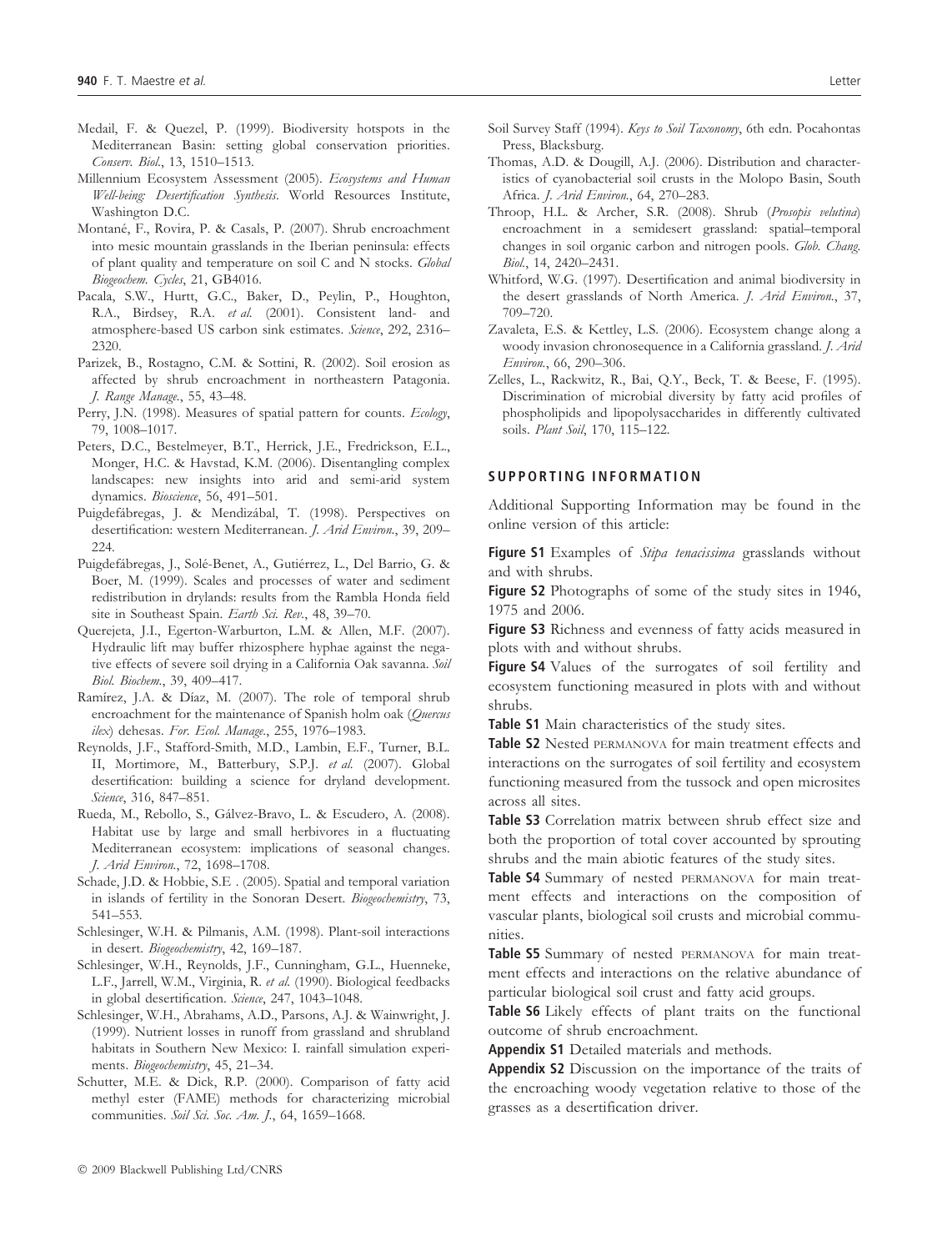- Medail, F. & Quezel, P. (1999). Biodiversity hotspots in the Mediterranean Basin: setting global conservation priorities. Conserv. Biol., 13, 1510–1513.
- Millennium Ecosystem Assessment (2005). Ecosystems and Human Well-being: Desertification Synthesis. World Resources Institute, Washington D.C.
- Montané, F., Rovira, P. & Casals, P. (2007). Shrub encroachment into mesic mountain grasslands in the Iberian peninsula: effects of plant quality and temperature on soil C and N stocks. Global Biogeochem. Cycles, 21, GB4016.
- Pacala, S.W., Hurtt, G.C., Baker, D., Peylin, P., Houghton, R.A., Birdsey, R.A. et al. (2001). Consistent land- and atmosphere-based US carbon sink estimates. Science, 292, 2316-2320.
- Parizek, B., Rostagno, C.M. & Sottini, R. (2002). Soil erosion as affected by shrub encroachment in northeastern Patagonia. J. Range Manage., 55, 43–48.
- Perry, J.N. (1998). Measures of spatial pattern for counts. Ecology, 79, 1008–1017.
- Peters, D.C., Bestelmeyer, B.T., Herrick, J.E., Fredrickson, E.L., Monger, H.C. & Havstad, K.M. (2006). Disentangling complex landscapes: new insights into arid and semi-arid system dynamics. Bioscience, 56, 491–501.
- Puigdefábregas, J. & Mendizábal, T. (1998). Perspectives on desertification: western Mediterranean. J. Arid Environ., 39, 209– 224
- Puigdefábregas, J., Solé-Benet, A., Gutiérrez, L., Del Barrio, G. & Boer, M. (1999). Scales and processes of water and sediment redistribution in drylands: results from the Rambla Honda field site in Southeast Spain. Earth Sci. Rev., 48, 39-70.
- Querejeta, J.I., Egerton-Warburton, L.M. & Allen, M.F. (2007). Hydraulic lift may buffer rhizosphere hyphae against the negative effects of severe soil drying in a California Oak savanna. Soil Biol. Biochem., 39, 409–417.
- Ramírez, J.A. & Díaz, M. (2007). The role of temporal shrub encroachment for the maintenance of Spanish holm oak (Quercus ilex) dehesas. For. Ecol. Manage., 255, 1976–1983.
- Reynolds, J.F., Stafford-Smith, M.D., Lambin, E.F., Turner, B.L. II, Mortimore, M., Batterbury, S.P.J. et al. (2007). Global desertification: building a science for dryland development. Science, 316, 847–851.
- Rueda, M., Rebollo, S., Gálvez-Bravo, L. & Escudero, A. (2008). Habitat use by large and small herbivores in a fluctuating Mediterranean ecosystem: implications of seasonal changes. J. Arid Environ., 72, 1698–1708.
- Schade, J.D. & Hobbie, S.E . (2005). Spatial and temporal variation in islands of fertility in the Sonoran Desert. Biogeochemistry, 73, 541–553.
- Schlesinger, W.H. & Pilmanis, A.M. (1998). Plant-soil interactions in desert. Biogeochemistry, 42, 169–187.
- Schlesinger, W.H., Reynolds, J.F., Cunningham, G.L., Huenneke, L.F., Jarrell, W.M., Virginia, R. et al. (1990). Biological feedbacks in global desertification. Science, 247, 1043-1048.
- Schlesinger, W.H., Abrahams, A.D., Parsons, A.J. & Wainwright, J. (1999). Nutrient losses in runoff from grassland and shrubland habitats in Southern New Mexico: I. rainfall simulation experiments. Biogeochemistry, 45, 21-34.
- Schutter, M.E. & Dick, R.P. (2000). Comparison of fatty acid methyl ester (FAME) methods for characterizing microbial communities. Soil Sci. Soc. Am. J., 64, 1659-1668.
- Soil Survey Staff (1994). Keys to Soil Taxonomy, 6th edn. Pocahontas Press, Blacksburg.
- Thomas, A.D. & Dougill, A.J. (2006). Distribution and characteristics of cyanobacterial soil crusts in the Molopo Basin, South Africa. J. Arid Environ., 64, 270–283.
- Throop, H.L. & Archer, S.R. (2008). Shrub (Prosopis velutina) encroachment in a semidesert grassland: spatial–temporal changes in soil organic carbon and nitrogen pools. Glob. Chang. Biol., 14, 2420–2431.
- Whitford, W.G. (1997). Desertification and animal biodiversity in the desert grasslands of North America. J. Arid Environ., 37, 709–720.
- Zavaleta, E.S. & Kettley, L.S. (2006). Ecosystem change along a woody invasion chronosequence in a California grassland. J. Arid Environ., 66, 290–306.
- Zelles, L., Rackwitz, R., Bai, Q.Y., Beck, T. & Beese, F. (1995). Discrimination of microbial diversity by fatty acid profiles of phospholipids and lipopolysaccharides in differently cultivated soils. Plant Soil, 170, 115-122.

#### SUPPORTING INFORMATION

Additional Supporting Information may be found in the online version of this article:

Figure S1 Examples of Stipa tenacissima grasslands without and with shrubs.

Figure S2 Photographs of some of the study sites in 1946, 1975 and 2006.

Figure S3 Richness and evenness of fatty acids measured in plots with and without shrubs.

Figure S4 Values of the surrogates of soil fertility and ecosystem functioning measured in plots with and without shrubs.

Table 51 Main characteristics of the study sites.

Table S2 Nested PERMANOVA for main treatment effects and interactions on the surrogates of soil fertility and ecosystem functioning measured from the tussock and open microsites across all sites.

Table S3 Correlation matrix between shrub effect size and both the proportion of total cover accounted by sprouting shrubs and the main abiotic features of the study sites.

Table S4 Summary of nested PERMANOVA for main treatment effects and interactions on the composition of vascular plants, biological soil crusts and microbial communities.

Table S5 Summary of nested PERMANOVA for main treatment effects and interactions on the relative abundance of particular biological soil crust and fatty acid groups.

Table S6 Likely effects of plant traits on the functional outcome of shrub encroachment.

Appendix S1 Detailed materials and methods.

Appendix S2 Discussion on the importance of the traits of the encroaching woody vegetation relative to those of the grasses as a desertification driver.